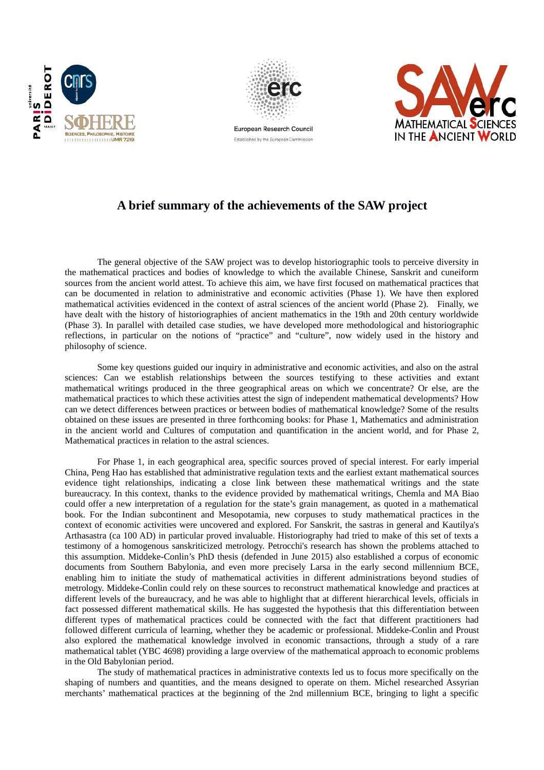



European Research Council Established by the European Commission



## **A brief summary of the achievements of the SAW project**

The general objective of the SAW project was to develop historiographic tools to perceive diversity in the mathematical practices and bodies of knowledge to which the available Chinese, Sanskrit and cuneiform sources from the ancient world attest. To achieve this aim, we have first focused on mathematical practices that can be documented in relation to administrative and economic activities (Phase 1). We have then explored mathematical activities evidenced in the context of astral sciences of the ancient world (Phase 2). Finally, we have dealt with the history of historiographies of ancient mathematics in the 19th and 20th century worldwide (Phase 3). In parallel with detailed case studies, we have developed more methodological and historiographic reflections, in particular on the notions of "practice" and "culture", now widely used in the history and philosophy of science.

Some key questions guided our inquiry in administrative and economic activities, and also on the astral sciences: Can we establish relationships between the sources testifying to these activities and extant mathematical writings produced in the three geographical areas on which we concentrate? Or else, are the mathematical practices to which these activities attest the sign of independent mathematical developments? How can we detect differences between practices or between bodies of mathematical knowledge? Some of the results obtained on these issues are presented in three forthcoming books: for Phase 1, Mathematics and administration in the ancient world and Cultures of computation and quantification in the ancient world, and for Phase 2, Mathematical practices in relation to the astral sciences.

For Phase 1, in each geographical area, specific sources proved of special interest. For early imperial China, Peng Hao has established that administrative regulation texts and the earliest extant mathematical sources evidence tight relationships, indicating a close link between these mathematical writings and the state bureaucracy. In this context, thanks to the evidence provided by mathematical writings, Chemla and MA Biao could offer a new interpretation of a regulation for the state's grain management, as quoted in a mathematical book. For the Indian subcontinent and Mesopotamia, new corpuses to study mathematical practices in the context of economic activities were uncovered and explored. For Sanskrit, the sastras in general and Kautilya's Arthasastra (ca 100 AD) in particular proved invaluable. Historiography had tried to make of this set of texts a testimony of a homogenous sanskriticized metrology. Petrocchi's research has shown the problems attached to this assumption. Middeke-Conlin's PhD thesis (defended in June 2015) also established a corpus of economic documents from Southern Babylonia, and even more precisely Larsa in the early second millennium BCE, enabling him to initiate the study of mathematical activities in different administrations beyond studies of metrology. Middeke-Conlin could rely on these sources to reconstruct mathematical knowledge and practices at different levels of the bureaucracy, and he was able to highlight that at different hierarchical levels, officials in fact possessed different mathematical skills. He has suggested the hypothesis that this differentiation between different types of mathematical practices could be connected with the fact that different practitioners had followed different curricula of learning, whether they be academic or professional. Middeke-Conlin and Proust also explored the mathematical knowledge involved in economic transactions, through a study of a rare mathematical tablet (YBC 4698) providing a large overview of the mathematical approach to economic problems in the Old Babylonian period.

The study of mathematical practices in administrative contexts led us to focus more specifically on the shaping of numbers and quantities, and the means designed to operate on them. Michel researched Assyrian merchants' mathematical practices at the beginning of the 2nd millennium BCE, bringing to light a specific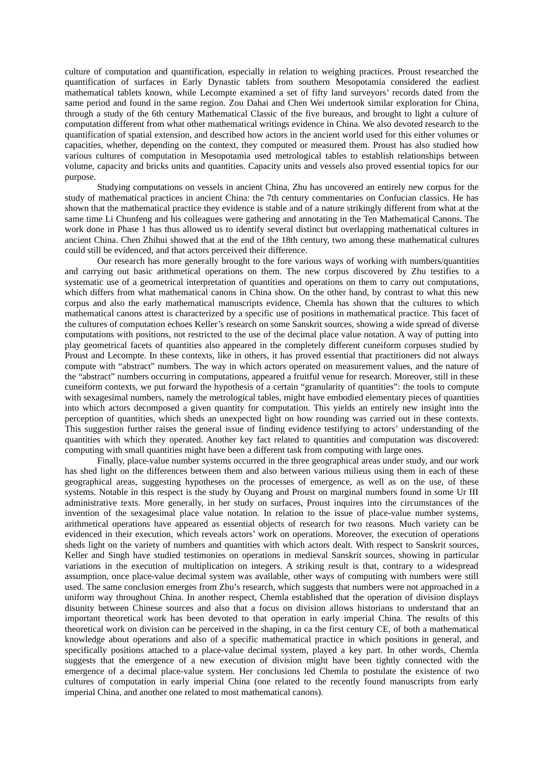culture of computation and quantification, especially in relation to weighing practices. Proust researched the quantification of surfaces in Early Dynastic tablets from southern Mesopotamia considered the earliest mathematical tablets known, while Lecompte examined a set of fifty land surveyors' records dated from the same period and found in the same region. Zou Dahai and Chen Wei undertook similar exploration for China, through a study of the 6th century Mathematical Classic of the five bureaus, and brought to light a culture of computation different from what other mathematical writings evidence in China. We also devoted research to the quantification of spatial extension, and described how actors in the ancient world used for this either volumes or capacities, whether, depending on the context, they computed or measured them. Proust has also studied how various cultures of computation in Mesopotamia used metrological tables to establish relationships between volume, capacity and bricks units and quantities. Capacity units and vessels also proved essential topics for our purpose.

Studying computations on vessels in ancient China, Zhu has uncovered an entirely new corpus for the study of mathematical practices in ancient China: the 7th century commentaries on Confucian classics. He has shown that the mathematical practice they evidence is stable and of a nature strikingly different from what at the same time Li Chunfeng and his colleagues were gathering and annotating in the Ten Mathematical Canons. The work done in Phase 1 has thus allowed us to identify several distinct but overlapping mathematical cultures in ancient China. Chen Zhihui showed that at the end of the 18th century, two among these mathematical cultures could still be evidenced, and that actors perceived their difference.

Our research has more generally brought to the fore various ways of working with numbers/quantities and carrying out basic arithmetical operations on them. The new corpus discovered by Zhu testifies to a systematic use of a geometrical interpretation of quantities and operations on them to carry out computations, which differs from what mathematical canons in China show. On the other hand, by contrast to what this new corpus and also the early mathematical manuscripts evidence, Chemla has shown that the cultures to which mathematical canons attest is characterized by a specific use of positions in mathematical practice. This facet of the cultures of computation echoes Keller's research on some Sanskrit sources, showing a wide spread of diverse computations with positions, not restricted to the use of the decimal place value notation. A way of putting into play geometrical facets of quantities also appeared in the completely different cuneiform corpuses studied by Proust and Lecompte. In these contexts, like in others, it has proved essential that practitioners did not always compute with "abstract" numbers. The way in which actors operated on measurement values, and the nature of the "abstract" numbers occurring in computations, appeared a fruitful venue for research. Moreover, still in these cuneiform contexts, we put forward the hypothesis of a certain "granularity of quantities": the tools to compute with sexagesimal numbers, namely the metrological tables, might have embodied elementary pieces of quantities into which actors decomposed a given quantity for computation. This yields an entirely new insight into the perception of quantities, which sheds an unexpected light on how rounding was carried out in these contexts. This suggestion further raises the general issue of finding evidence testifying to actors' understanding of the quantities with which they operated. Another key fact related to quantities and computation was discovered: computing with small quantities might have been a different task from computing with large ones.

Finally, place-value number systems occurred in the three geographical areas under study, and our work has shed light on the differences between them and also between various milieus using them in each of these geographical areas, suggesting hypotheses on the processes of emergence, as well as on the use, of these systems. Notable in this respect is the study by Ouyang and Proust on marginal numbers found in some Ur III administrative texts. More generally, in her study on surfaces, Proust inquires into the circumstances of the invention of the sexagesimal place value notation. In relation to the issue of place-value number systems, arithmetical operations have appeared as essential objects of research for two reasons. Much variety can be evidenced in their execution, which reveals actors' work on operations. Moreover, the execution of operations sheds light on the variety of numbers and quantities with which actors dealt. With respect to Sanskrit sources, Keller and Singh have studied testimonies on operations in medieval Sanskrit sources, showing in particular variations in the execution of multiplication on integers. A striking result is that, contrary to a widespread assumption, once place-value decimal system was available, other ways of computing with numbers were still used. The same conclusion emerges from Zhu's research, which suggests that numbers were not approached in a uniform way throughout China. In another respect, Chemla established that the operation of division displays disunity between Chinese sources and also that a focus on division allows historians to understand that an important theoretical work has been devoted to that operation in early imperial China. The results of this theoretical work on division can be perceived in the shaping, in ca the first century CE, of both a mathematical knowledge about operations and also of a specific mathematical practice in which positions in general, and specifically positions attached to a place-value decimal system, played a key part. In other words, Chemla suggests that the emergence of a new execution of division might have been tightly connected with the emergence of a decimal place-value system. Her conclusions led Chemla to postulate the existence of two cultures of computation in early imperial China (one related to the recently found manuscripts from early imperial China, and another one related to most mathematical canons).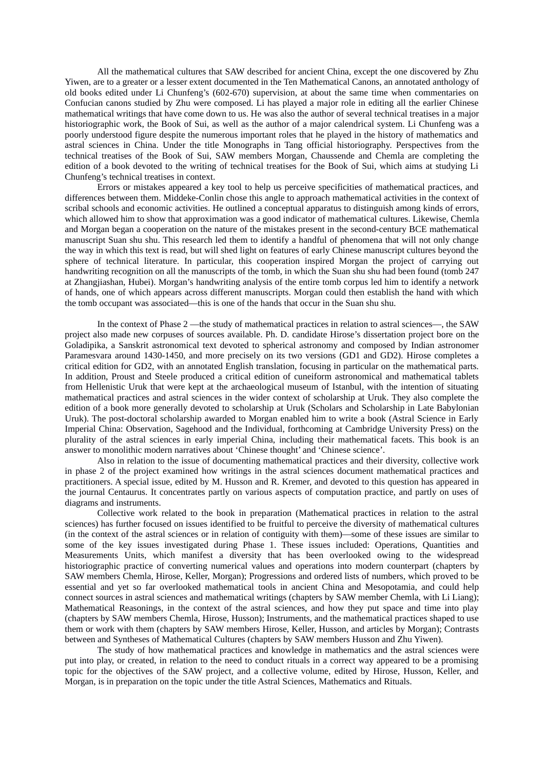All the mathematical cultures that SAW described for ancient China, except the one discovered by Zhu Yiwen, are to a greater or a lesser extent documented in the Ten Mathematical Canons, an annotated anthology of old books edited under Li Chunfeng's (602-670) supervision, at about the same time when commentaries on Confucian canons studied by Zhu were composed. Li has played a major role in editing all the earlier Chinese mathematical writings that have come down to us. He was also the author of several technical treatises in a major historiographic work, the Book of Sui, as well as the author of a major calendrical system. Li Chunfeng was a poorly understood figure despite the numerous important roles that he played in the history of mathematics and astral sciences in China. Under the title Monographs in Tang official historiography. Perspectives from the technical treatises of the Book of Sui, SAW members Morgan, Chaussende and Chemla are completing the edition of a book devoted to the writing of technical treatises for the Book of Sui, which aims at studying Li Chunfeng's technical treatises in context.

Errors or mistakes appeared a key tool to help us perceive specificities of mathematical practices, and differences between them. Middeke-Conlin chose this angle to approach mathematical activities in the context of scribal schools and economic activities. He outlined a conceptual apparatus to distinguish among kinds of errors, which allowed him to show that approximation was a good indicator of mathematical cultures. Likewise, Chemla and Morgan began a cooperation on the nature of the mistakes present in the second-century BCE mathematical manuscript Suan shu shu. This research led them to identify a handful of phenomena that will not only change the way in which this text is read, but will shed light on features of early Chinese manuscript cultures beyond the sphere of technical literature. In particular, this cooperation inspired Morgan the project of carrying out handwriting recognition on all the manuscripts of the tomb, in which the Suan shu shu had been found (tomb 247 at Zhangjiashan, Hubei). Morgan's handwriting analysis of the entire tomb corpus led him to identify a network of hands, one of which appears across different manuscripts. Morgan could then establish the hand with which the tomb occupant was associated—this is one of the hands that occur in the Suan shu shu.

In the context of Phase 2 —the study of mathematical practices in relation to astral sciences—, the SAW project also made new corpuses of sources available. Ph. D. candidate Hirose's dissertation project bore on the Goladipika, a Sanskrit astronomical text devoted to spherical astronomy and composed by Indian astronomer Paramesvara around 1430-1450, and more precisely on its two versions (GD1 and GD2). Hirose completes a critical edition for GD2, with an annotated English translation, focusing in particular on the mathematical parts. In addition, Proust and Steele produced a critical edition of cuneiform astronomical and mathematical tablets from Hellenistic Uruk that were kept at the archaeological museum of Istanbul, with the intention of situating mathematical practices and astral sciences in the wider context of scholarship at Uruk. They also complete the edition of a book more generally devoted to scholarship at Uruk (Scholars and Scholarship in Late Babylonian Uruk). The post-doctoral scholarship awarded to Morgan enabled him to write a book (Astral Science in Early Imperial China: Observation, Sagehood and the Individual, forthcoming at Cambridge University Press) on the plurality of the astral sciences in early imperial China, including their mathematical facets. This book is an answer to monolithic modern narratives about 'Chinese thought' and 'Chinese science'.

Also in relation to the issue of documenting mathematical practices and their diversity, collective work in phase 2 of the project examined how writings in the astral sciences document mathematical practices and practitioners. A special issue, edited by M. Husson and R. Kremer, and devoted to this question has appeared in the journal Centaurus. It concentrates partly on various aspects of computation practice, and partly on uses of diagrams and instruments.

Collective work related to the book in preparation (Mathematical practices in relation to the astral sciences) has further focused on issues identified to be fruitful to perceive the diversity of mathematical cultures (in the context of the astral sciences or in relation of contiguity with them)—some of these issues are similar to some of the key issues investigated during Phase 1. These issues included: Operations, Quantities and Measurements Units, which manifest a diversity that has been overlooked owing to the widespread historiographic practice of converting numerical values and operations into modern counterpart (chapters by SAW members Chemla, Hirose, Keller, Morgan); Progressions and ordered lists of numbers, which proved to be essential and yet so far overlooked mathematical tools in ancient China and Mesopotamia, and could help connect sources in astral sciences and mathematical writings (chapters by SAW member Chemla, with Li Liang); Mathematical Reasonings, in the context of the astral sciences, and how they put space and time into play (chapters by SAW members Chemla, Hirose, Husson); Instruments, and the mathematical practices shaped to use them or work with them (chapters by SAW members Hirose, Keller, Husson, and articles by Morgan); Contrasts between and Syntheses of Mathematical Cultures (chapters by SAW members Husson and Zhu Yiwen).

The study of how mathematical practices and knowledge in mathematics and the astral sciences were put into play, or created, in relation to the need to conduct rituals in a correct way appeared to be a promising topic for the objectives of the SAW project, and a collective volume, edited by Hirose, Husson, Keller, and Morgan, is in preparation on the topic under the title Astral Sciences, Mathematics and Rituals.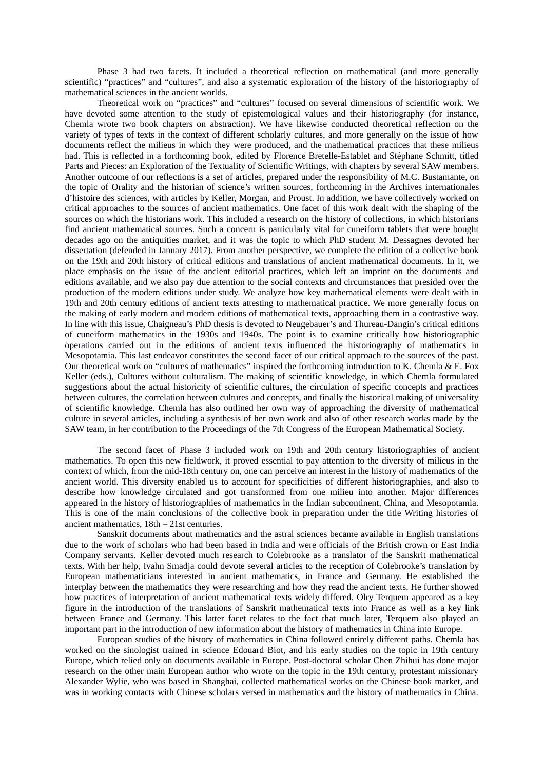Phase 3 had two facets. It included a theoretical reflection on mathematical (and more generally scientific) "practices" and "cultures", and also a systematic exploration of the history of the historiography of mathematical sciences in the ancient worlds.

Theoretical work on "practices" and "cultures" focused on several dimensions of scientific work. We have devoted some attention to the study of epistemological values and their historiography (for instance, Chemla wrote two book chapters on abstraction). We have likewise conducted theoretical reflection on the variety of types of texts in the context of different scholarly cultures, and more generally on the issue of how documents reflect the milieus in which they were produced, and the mathematical practices that these milieus had. This is reflected in a forthcoming book, edited by Florence Bretelle-Establet and Stéphane Schmitt, titled Parts and Pieces: an Exploration of the Textuality of Scientific Writings, with chapters by several SAW members. Another outcome of our reflections is a set of articles, prepared under the responsibility of M.C. Bustamante, on the topic of Orality and the historian of science's written sources, forthcoming in the Archives internationales d'histoire des sciences, with articles by Keller, Morgan, and Proust. In addition, we have collectively worked on critical approaches to the sources of ancient mathematics. One facet of this work dealt with the shaping of the sources on which the historians work. This included a research on the history of collections, in which historians find ancient mathematical sources. Such a concern is particularly vital for cuneiform tablets that were bought decades ago on the antiquities market, and it was the topic to which PhD student M. Dessagnes devoted her dissertation (defended in January 2017). From another perspective, we complete the edition of a collective book on the 19th and 20th history of critical editions and translations of ancient mathematical documents. In it, we place emphasis on the issue of the ancient editorial practices, which left an imprint on the documents and editions available, and we also pay due attention to the social contexts and circumstances that presided over the production of the modern editions under study. We analyze how key mathematical elements were dealt with in 19th and 20th century editions of ancient texts attesting to mathematical practice. We more generally focus on the making of early modern and modern editions of mathematical texts, approaching them in a contrastive way. In line with this issue, Chaigneau's PhD thesis is devoted to Neugebauer's and Thureau-Dangin's critical editions of cuneiform mathematics in the 1930s and 1940s. The point is to examine critically how historiographic operations carried out in the editions of ancient texts influenced the historiography of mathematics in Mesopotamia. This last endeavor constitutes the second facet of our critical approach to the sources of the past. Our theoretical work on "cultures of mathematics" inspired the forthcoming introduction to K. Chemla & E. Fox Keller (eds.), Cultures without culturalism. The making of scientific knowledge, in which Chemla formulated suggestions about the actual historicity of scientific cultures, the circulation of specific concepts and practices between cultures, the correlation between cultures and concepts, and finally the historical making of universality of scientific knowledge. Chemla has also outlined her own way of approaching the diversity of mathematical culture in several articles, including a synthesis of her own work and also of other research works made by the SAW team, in her contribution to the Proceedings of the 7th Congress of the European Mathematical Society.

The second facet of Phase 3 included work on 19th and 20th century historiographies of ancient mathematics. To open this new fieldwork, it proved essential to pay attention to the diversity of milieus in the context of which, from the mid-18th century on, one can perceive an interest in the history of mathematics of the ancient world. This diversity enabled us to account for specificities of different historiographies, and also to describe how knowledge circulated and got transformed from one milieu into another. Major differences appeared in the history of historiographies of mathematics in the Indian subcontinent, China, and Mesopotamia. This is one of the main conclusions of the collective book in preparation under the title Writing histories of ancient mathematics, 18th – 21st centuries.

Sanskrit documents about mathematics and the astral sciences became available in English translations due to the work of scholars who had been based in India and were officials of the British crown or East India Company servants. Keller devoted much research to Colebrooke as a translator of the Sanskrit mathematical texts. With her help, Ivahn Smadja could devote several articles to the reception of Colebrooke's translation by European mathematicians interested in ancient mathematics, in France and Germany. He established the interplay between the mathematics they were researching and how they read the ancient texts. He further showed how practices of interpretation of ancient mathematical texts widely differed. Olry Terquem appeared as a key figure in the introduction of the translations of Sanskrit mathematical texts into France as well as a key link between France and Germany. This latter facet relates to the fact that much later, Terquem also played an important part in the introduction of new information about the history of mathematics in China into Europe.

European studies of the history of mathematics in China followed entirely different paths. Chemla has worked on the sinologist trained in science Edouard Biot, and his early studies on the topic in 19th century Europe, which relied only on documents available in Europe. Post-doctoral scholar Chen Zhihui has done major research on the other main European author who wrote on the topic in the 19th century, protestant missionary Alexander Wylie, who was based in Shanghai, collected mathematical works on the Chinese book market, and was in working contacts with Chinese scholars versed in mathematics and the history of mathematics in China.